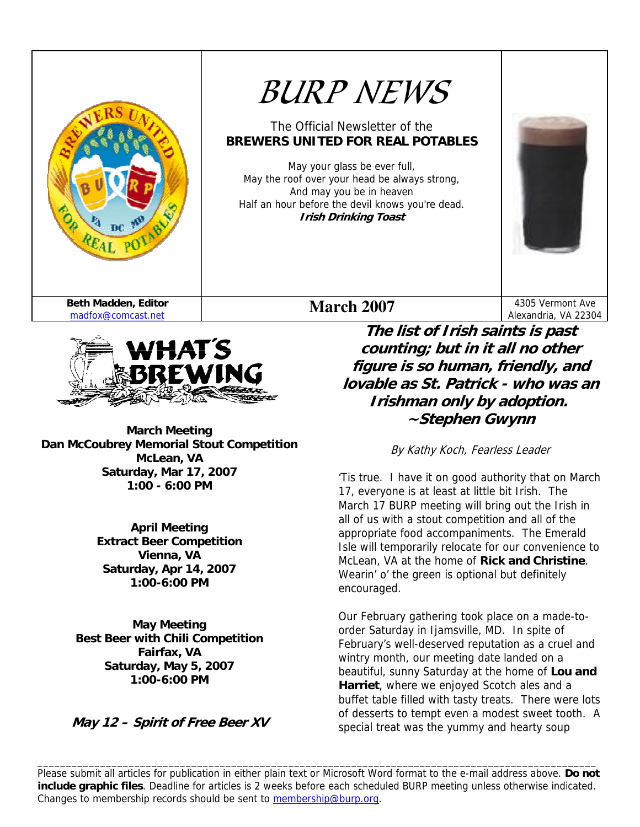



**March Meeting Dan McCoubrey Memorial Stout Competition McLean, VA Saturday, Mar 17, 2007 1:00 - 6:00 PM** 

> **April Meeting Extract Beer Competition Vienna, VA Saturday, Apr 14, 2007 1:00-6:00 PM**

**May Meeting Best Beer with Chili Competition Fairfax, VA Saturday, May 5, 2007 1:00-6:00 PM** 

**May 12 – Spirit of Free Beer XV** 

**The list of Irish saints is past counting; but in it all no other figure is so human, friendly, and lovable as St. Patrick - who was an Irishman only by adoption. ~Stephen Gwynn** 

By Kathy Koch, Fearless Leader

'Tis true. I have it on good authority that on March 17, everyone is at least at little bit Irish. The March 17 BURP meeting will bring out the Irish in all of us with a stout competition and all of the appropriate food accompaniments. The Emerald Isle will temporarily relocate for our convenience to McLean, VA at the home of **Rick and Christine**. Wearin' o' the green is optional but definitely encouraged.

Our February gathering took place on a made-toorder Saturday in Ijamsville, MD. In spite of February's well-deserved reputation as a cruel and wintry month, our meeting date landed on a beautiful, sunny Saturday at the home of **Lou and Harriet**, where we enjoyed Scotch ales and a buffet table filled with tasty treats. There were lots of desserts to tempt even a modest sweet tooth. A special treat was the yummy and hearty soup

Please submit all articles for publication in either plain text or Microsoft Word format to the e-mail address above. **Do not include graphic files**. Deadline for articles is 2 weeks before each scheduled BURP meeting unless otherwise indicated. Changes to membership records should be sent to membership@burp.org.

\_\_\_\_\_\_\_\_\_\_\_\_\_\_\_\_\_\_\_\_\_\_\_\_\_\_\_\_\_\_\_\_\_\_\_\_\_\_\_\_\_\_\_\_\_\_\_\_\_\_\_\_\_\_\_\_\_\_\_\_\_\_\_\_\_\_\_\_\_\_\_\_\_\_\_\_\_\_\_\_\_\_\_\_\_\_\_\_\_\_\_\_\_\_\_\_\_\_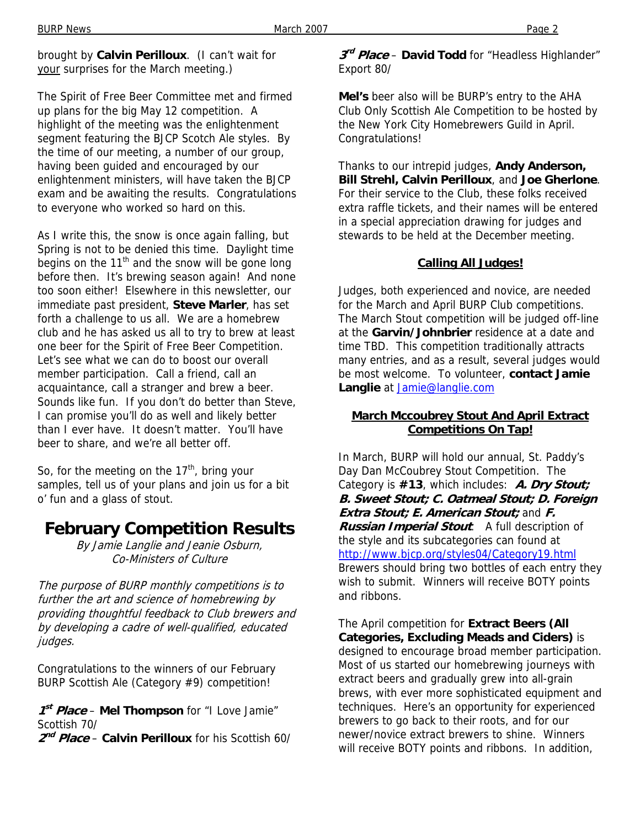brought by **Calvin Perilloux**. (I can't wait for your surprises for the March meeting.)

The Spirit of Free Beer Committee met and firmed up plans for the big May 12 competition. A highlight of the meeting was the enlightenment segment featuring the BJCP Scotch Ale styles. By the time of our meeting, a number of our group, having been guided and encouraged by our enlightenment ministers, will have taken the BJCP exam and be awaiting the results. Congratulations to everyone who worked so hard on this.

As I write this, the snow is once again falling, but Spring is not to be denied this time. Daylight time begins on the  $11<sup>th</sup>$  and the snow will be gone long before then. It's brewing season again! And none too soon either! Elsewhere in this newsletter, our immediate past president, **Steve Marler**, has set forth a challenge to us all. We are a homebrew club and he has asked us all to try to brew at least one beer for the Spirit of Free Beer Competition. Let's see what we can do to boost our overall member participation. Call a friend, call an acquaintance, call a stranger and brew a beer. Sounds like fun. If you don't do better than Steve, I can promise you'll do as well and likely better than I ever have. It doesn't matter. You'll have beer to share, and we're all better off.

So, for the meeting on the  $17<sup>th</sup>$ , bring your samples, tell us of your plans and join us for a bit o' fun and a glass of stout.

## **February Competition Results**

By Jamie Langlie and Jeanie Osburn, Co-Ministers of Culture

The purpose of BURP monthly competitions is to further the art and science of homebrewing by providing thoughtful feedback to Club brewers and by developing a cadre of well-qualified, educated judges.

Congratulations to the winners of our February BURP Scottish Ale (Category #9) competition!

**<sup>1</sup>st Place** – **Mel Thompson** for "I Love Jamie" Scottish 70/

**<sup>2</sup>nd Place** – **Calvin Perilloux** for his Scottish 60/

### **<sup>3</sup>rd Place** – **David Todd** for "Headless Highlander" Export 80/

**Mel's** beer also will be BURP's entry to the AHA Club Only Scottish Ale Competition to be hosted by the New York City Homebrewers Guild in April. Congratulations!

Thanks to our intrepid judges, **Andy Anderson, Bill Strehl, Calvin Perilloux**, and **Joe Gherlone**. For their service to the Club, these folks received extra raffle tickets, and their names will be entered in a special appreciation drawing for judges and stewards to be held at the December meeting.

### **Calling All Judges!**

Judges, both experienced and novice, are needed for the March and April BURP Club competitions. The March Stout competition will be judged off-line at the **Garvin/Johnbrier** residence at a date and time TBD. This competition traditionally attracts many entries, and as a result, several judges would be most welcome. To volunteer, **contact Jamie Langlie** at **Jamie@langlie.com** 

### **March Mccoubrey Stout And April Extract Competitions On Tap!**

In March, BURP will hold our annual, St. Paddy's Day Dan McCoubrey Stout Competition. The Category is **#13**, which includes: **A. Dry Stout; B. Sweet Stout; C. Oatmeal Stout; D. Foreign Extra Stout; E. American Stout;** and **F. Russian Imperial Stout**. A full description of the style and its subcategories can found at http://www.bjcp.org/styles04/Category19.html Brewers should bring two bottles of each entry they wish to submit. Winners will receive BOTY points and ribbons.

The April competition for **Extract Beers (All Categories, Excluding Meads and Ciders)** is designed to encourage broad member participation. Most of us started our homebrewing journeys with extract beers and gradually grew into all-grain brews, with ever more sophisticated equipment and techniques. Here's an opportunity for experienced brewers to go back to their roots, and for our newer/novice extract brewers to shine. Winners will receive BOTY points and ribbons. In addition,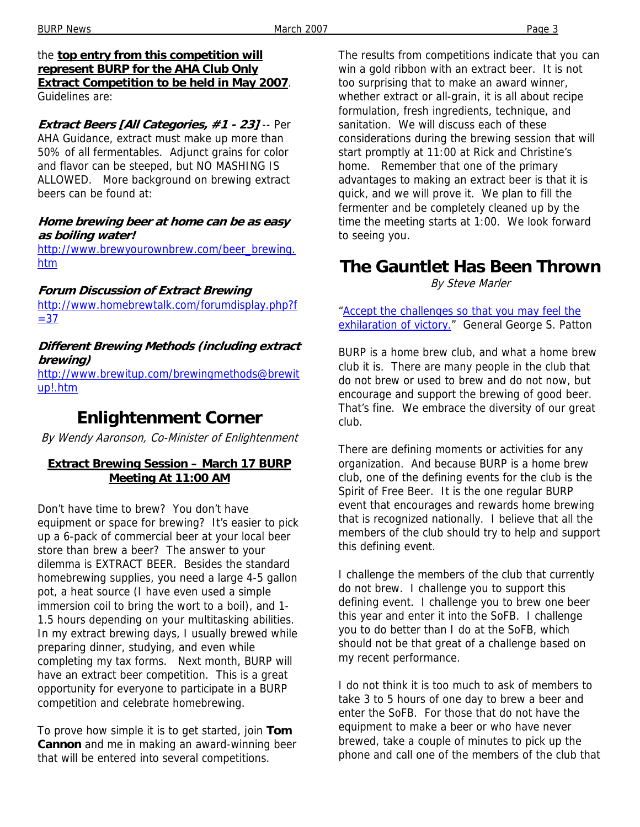#### BURP News **Page 3** Page 3

#### the **top entry from this competition will represent BURP for the AHA Club Only Extract Competition to be held in May 2007**. Guidelines are:

**Extract Beers [All Categories, #1 - 23]** -- Per AHA Guidance, extract must make up more than 50% of all fermentables. Adjunct grains for color and flavor can be steeped, but NO MASHING IS ALLOWED. More background on brewing extract beers can be found at:

### **Home brewing beer at home can be as easy as boiling water!**

http://www.brewyourownbrew.com/beer\_brewing. htm

### **Forum Discussion of Extract Brewing**

http://www.homebrewtalk.com/forumdisplay.php?f  $= 37$ 

### **Different Brewing Methods (including extract brewing)**

http://www.brewitup.com/brewingmethods@brewit up!.htm

# **Enlightenment Corner**

By Wendy Aaronson, Co-Minister of Enlightenment

### **Extract Brewing Session – March 17 BURP Meeting At 11:00 AM**

Don't have time to brew? You don't have equipment or space for brewing? It's easier to pick up a 6-pack of commercial beer at your local beer store than brew a beer? The answer to your dilemma is EXTRACT BEER. Besides the standard homebrewing supplies, you need a large 4-5 gallon pot, a heat source (I have even used a simple immersion coil to bring the wort to a boil), and 1- 1.5 hours depending on your multitasking abilities. In my extract brewing days, I usually brewed while preparing dinner, studying, and even while completing my tax forms. Next month, BURP will have an extract beer competition. This is a great opportunity for everyone to participate in a BURP competition and celebrate homebrewing.

To prove how simple it is to get started, join **Tom Cannon** and me in making an award-winning beer that will be entered into several competitions.

The results from competitions indicate that you can win a gold ribbon with an extract beer. It is not too surprising that to make an award winner, whether extract or all-grain, it is all about recipe formulation, fresh ingredients, technique, and sanitation. We will discuss each of these considerations during the brewing session that will start promptly at 11:00 at Rick and Christine's home. Remember that one of the primary advantages to making an extract beer is that it is quick, and we will prove it. We plan to fill the fermenter and be completely cleaned up by the time the meeting starts at 1:00. We look forward to seeing you.

## **The Gauntlet Has Been Thrown**  By Steve Marler

"Accept the challenges so that you may feel the exhilaration of victory." General George S. Patton

BURP is a home brew club, and what a home brew club it is. There are many people in the club that do not brew or used to brew and do not now, but encourage and support the brewing of good beer. That's fine. We embrace the diversity of our great club.

There are defining moments or activities for any organization. And because BURP is a home brew club, one of the defining events for the club is the Spirit of Free Beer. It is the one regular BURP event that encourages and rewards home brewing that is recognized nationally. I believe that all the members of the club should try to help and support this defining event.

I challenge the members of the club that currently do not brew. I challenge you to support this defining event. I challenge you to brew one beer this year and enter it into the SoFB. I challenge you to do better than I do at the SoFB, which should not be that great of a challenge based on my recent performance.

I do not think it is too much to ask of members to take 3 to 5 hours of one day to brew a beer and enter the SoFB. For those that do not have the equipment to make a beer or who have never brewed, take a couple of minutes to pick up the phone and call one of the members of the club that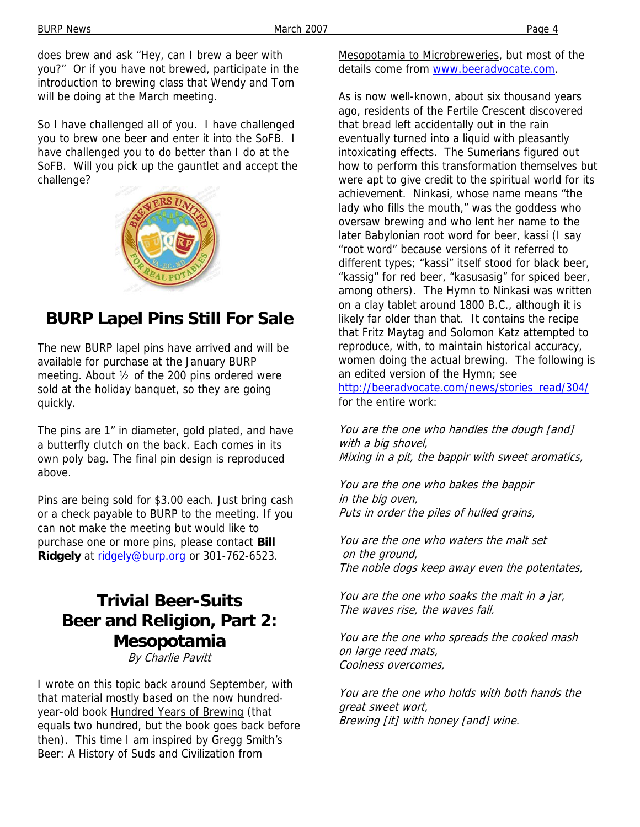does brew and ask "Hey, can I brew a beer with you?" Or if you have not brewed, participate in the introduction to brewing class that Wendy and Tom will be doing at the March meeting.

So I have challenged all of you. I have challenged you to brew one beer and enter it into the SoFB. I have challenged you to do better than I do at the SoFB. Will you pick up the gauntlet and accept the challenge?



# **BURP Lapel Pins Still For Sale**

The new BURP lapel pins have arrived and will be available for purchase at the January BURP meeting. About ½ of the 200 pins ordered were sold at the holiday banquet, so they are going quickly.

The pins are 1" in diameter, gold plated, and have a butterfly clutch on the back. Each comes in its own poly bag. The final pin design is reproduced above.

Pins are being sold for \$3.00 each. Just bring cash or a check payable to BURP to the meeting. If you can not make the meeting but would like to purchase one or more pins, please contact **Bill**  Ridgely at ridgely@burp.org or 301-762-6523.

## **Trivial Beer-Suits Beer and Religion, Part 2: Mesopotamia**  By Charlie Pavitt

I wrote on this topic back around September, with that material mostly based on the now hundredyear-old book Hundred Years of Brewing (that equals two hundred, but the book goes back before then). This time I am inspired by Gregg Smith's Beer: A History of Suds and Civilization from

Mesopotamia to Microbreweries, but most of the details come from www.beeradvocate.com.

As is now well-known, about six thousand years ago, residents of the Fertile Crescent discovered that bread left accidentally out in the rain eventually turned into a liquid with pleasantly intoxicating effects. The Sumerians figured out how to perform this transformation themselves but were apt to give credit to the spiritual world for its achievement. Ninkasi, whose name means "the lady who fills the mouth," was the goddess who oversaw brewing and who lent her name to the later Babylonian root word for beer, kassi (I say "root word" because versions of it referred to different types; "kassi" itself stood for black beer, "kassig" for red beer, "kasusasig" for spiced beer, among others). The Hymn to Ninkasi was written on a clay tablet around 1800 B.C., although it is likely far older than that. It contains the recipe that Fritz Maytag and Solomon Katz attempted to reproduce, with, to maintain historical accuracy, women doing the actual brewing. The following is an edited version of the Hymn; see http://beeradvocate.com/news/stories\_read/304/ for the entire work:

You are the one who handles the dough [and] with a big shovel, Mixing in a pit, the bappir with sweet aromatics,

You are the one who bakes the bappir in the big oven, Puts in order the piles of hulled grains,

You are the one who waters the malt set on the ground, The noble dogs keep away even the potentates,

You are the one who soaks the malt in a jar, The waves rise, the waves fall.

You are the one who spreads the cooked mash on large reed mats, Coolness overcomes,

You are the one who holds with both hands the great sweet wort, Brewing [it] with honey [and] wine.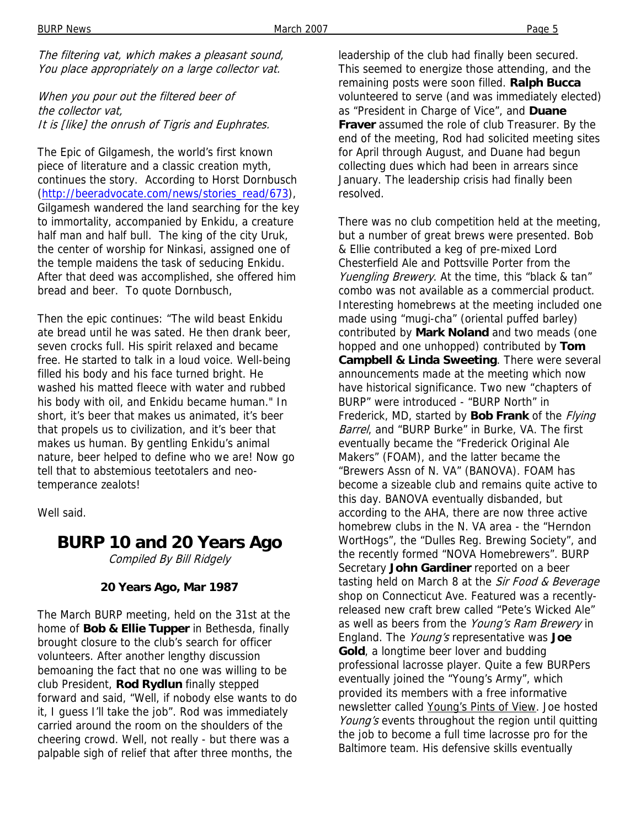BURP News Page 5

The filtering vat, which makes a pleasant sound, You place appropriately on a large collector vat.

When you pour out the filtered beer of the collector vat, It is [like] the onrush of Tigris and Euphrates.

The Epic of Gilgamesh, the world's first known piece of literature and a classic creation myth, continues the story. According to Horst Dornbusch (http://beeradvocate.com/news/stories\_read/673), Gilgamesh wandered the land searching for the key to immortality, accompanied by Enkidu, a creature half man and half bull. The king of the city Uruk, the center of worship for Ninkasi, assigned one of the temple maidens the task of seducing Enkidu. After that deed was accomplished, she offered him bread and beer. To quote Dornbusch,

Then the epic continues: "The wild beast Enkidu ate bread until he was sated. He then drank beer, seven crocks full. His spirit relaxed and became free. He started to talk in a loud voice. Well-being filled his body and his face turned bright. He washed his matted fleece with water and rubbed his body with oil, and Enkidu became human." In short, it's beer that makes us animated, it's beer that propels us to civilization, and it's beer that makes us human. By gentling Enkidu's animal nature, beer helped to define who we are! Now go tell that to abstemious teetotalers and neotemperance zealots!

Well said.

**BURP 10 and 20 Years Ago**  Compiled By Bill Ridgely

### **20 Years Ago, Mar 1987**

The March BURP meeting, held on the 31st at the home of **Bob & Ellie Tupper** in Bethesda, finally brought closure to the club's search for officer volunteers. After another lengthy discussion bemoaning the fact that no one was willing to be club President, **Rod Rydlun** finally stepped forward and said, "Well, if nobody else wants to do it, I guess I'll take the job". Rod was immediately carried around the room on the shoulders of the cheering crowd. Well, not really - but there was a palpable sigh of relief that after three months, the

leadership of the club had finally been secured. This seemed to energize those attending, and the remaining posts were soon filled. **Ralph Bucca**  volunteered to serve (and was immediately elected) as "President in Charge of Vice", and **Duane Fraver** assumed the role of club Treasurer. By the end of the meeting, Rod had solicited meeting sites for April through August, and Duane had begun collecting dues which had been in arrears since January. The leadership crisis had finally been resolved.

There was no club competition held at the meeting, but a number of great brews were presented. Bob & Ellie contributed a keg of pre-mixed Lord Chesterfield Ale and Pottsville Porter from the Yuengling Brewery. At the time, this "black & tan" combo was not available as a commercial product. Interesting homebrews at the meeting included one made using "mugi-cha" (oriental puffed barley) contributed by **Mark Noland** and two meads (one hopped and one unhopped) contributed by **Tom Campbell & Linda Sweeting**. There were several announcements made at the meeting which now have historical significance. Two new "chapters of BURP" were introduced - "BURP North" in Frederick, MD, started by **Bob Frank** of the Flying Barrel, and "BURP Burke" in Burke, VA. The first eventually became the "Frederick Original Ale Makers" (FOAM), and the latter became the "Brewers Assn of N. VA" (BANOVA). FOAM has become a sizeable club and remains quite active to this day. BANOVA eventually disbanded, but according to the AHA, there are now three active homebrew clubs in the N. VA area - the "Herndon WortHogs", the "Dulles Reg. Brewing Society", and the recently formed "NOVA Homebrewers". BURP Secretary **John Gardiner** reported on a beer tasting held on March 8 at the Sir Food & Beverage shop on Connecticut Ave. Featured was a recentlyreleased new craft brew called "Pete's Wicked Ale" as well as beers from the Young's Ram Brewery in England. The Young's representative was **Joe Gold**, a longtime beer lover and budding professional lacrosse player. Quite a few BURPers eventually joined the "Young's Army", which provided its members with a free informative newsletter called Young's Pints of View. Joe hosted Young's events throughout the region until quitting the job to become a full time lacrosse pro for the Baltimore team. His defensive skills eventually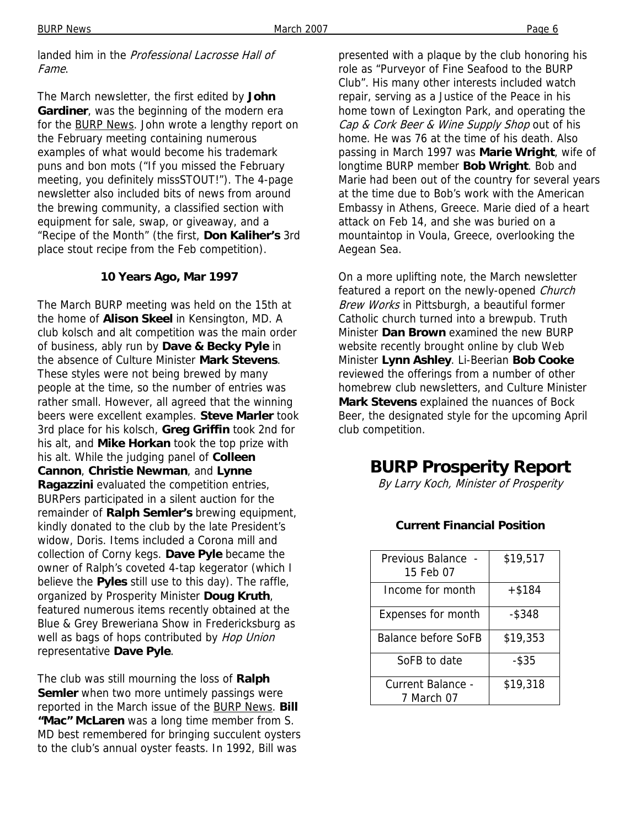landed him in the Professional Lacrosse Hall of Fame.

The March newsletter, the first edited by **John Gardiner**, was the beginning of the modern era for the **BURP News**. John wrote a lengthy report on the February meeting containing numerous examples of what would become his trademark puns and bon mots ("If you missed the February meeting, you definitely missSTOUT!"). The 4-page newsletter also included bits of news from around the brewing community, a classified section with equipment for sale, swap, or giveaway, and a "Recipe of the Month" (the first, **Don Kaliher's** 3rd place stout recipe from the Feb competition).

### **10 Years Ago, Mar 1997**

The March BURP meeting was held on the 15th at the home of **Alison Skeel** in Kensington, MD. A club kolsch and alt competition was the main order of business, ably run by **Dave & Becky Pyle** in the absence of Culture Minister **Mark Stevens**. These styles were not being brewed by many people at the time, so the number of entries was rather small. However, all agreed that the winning beers were excellent examples. **Steve Marler** took 3rd place for his kolsch, **Greg Griffin** took 2nd for his alt, and **Mike Horkan** took the top prize with his alt. While the judging panel of **Colleen Cannon**, **Christie Newman**, and **Lynne Ragazzini** evaluated the competition entries, BURPers participated in a silent auction for the remainder of **Ralph Semler's** brewing equipment, kindly donated to the club by the late President's widow, Doris. Items included a Corona mill and collection of Corny kegs. **Dave Pyle** became the owner of Ralph's coveted 4-tap kegerator (which I believe the **Pyles** still use to this day). The raffle, organized by Prosperity Minister **Doug Kruth**, featured numerous items recently obtained at the Blue & Grey Breweriana Show in Fredericksburg as well as bags of hops contributed by Hop Union representative **Dave Pyle**.

The club was still mourning the loss of **Ralph Semler** when two more untimely passings were reported in the March issue of the BURP News. **Bill "Mac" McLaren** was a long time member from S. MD best remembered for bringing succulent oysters to the club's annual oyster feasts. In 1992, Bill was

presented with a plaque by the club honoring his role as "Purveyor of Fine Seafood to the BURP Club". His many other interests included watch repair, serving as a Justice of the Peace in his home town of Lexington Park, and operating the Cap & Cork Beer & Wine Supply Shop out of his home. He was 76 at the time of his death. Also passing in March 1997 was **Marie Wright**, wife of longtime BURP member **Bob Wright**. Bob and Marie had been out of the country for several years at the time due to Bob's work with the American Embassy in Athens, Greece. Marie died of a heart attack on Feb 14, and she was buried on a mountaintop in Voula, Greece, overlooking the Aegean Sea.

On a more uplifting note, the March newsletter featured a report on the newly-opened Church Brew Works in Pittsburgh, a beautiful former Catholic church turned into a brewpub. Truth Minister **Dan Brown** examined the new BURP website recently brought online by club Web Minister **Lynn Ashley**. Li-Beerian **Bob Cooke** reviewed the offerings from a number of other homebrew club newsletters, and Culture Minister **Mark Stevens** explained the nuances of Bock Beer, the designated style for the upcoming April club competition.

## **BURP Prosperity Report**

By Larry Koch, Minister of Prosperity

### **Current Financial Position**

| Previous Balance<br>15 Feb 07   | \$19,517  |
|---------------------------------|-----------|
| Income for month                | $+$ \$184 |
| Expenses for month              | -\$348    |
| <b>Balance before SoFB</b>      | \$19,353  |
| SoFB to date                    | $-$ \$35  |
| Current Balance -<br>7 March 07 | \$19,318  |